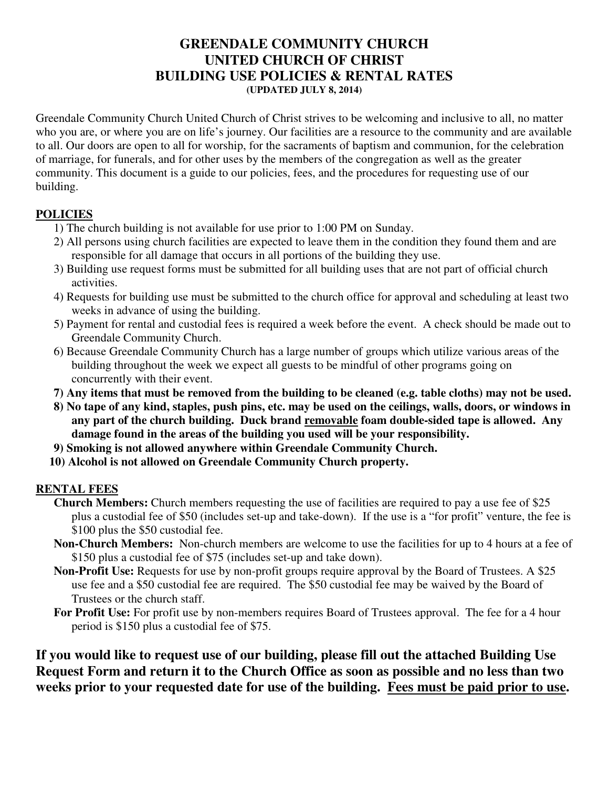## **GREENDALE COMMUNITY CHURCH UNITED CHURCH OF CHRIST BUILDING USE POLICIES & RENTAL RATES (UPDATED JULY 8, 2014)**

Greendale Community Church United Church of Christ strives to be welcoming and inclusive to all, no matter who you are, or where you are on life's journey. Our facilities are a resource to the community and are available to all. Our doors are open to all for worship, for the sacraments of baptism and communion, for the celebration of marriage, for funerals, and for other uses by the members of the congregation as well as the greater community. This document is a guide to our policies, fees, and the procedures for requesting use of our building.

## **POLICIES**

- 1) The church building is not available for use prior to 1:00 PM on Sunday.
- 2) All persons using church facilities are expected to leave them in the condition they found them and are responsible for all damage that occurs in all portions of the building they use.
- 3) Building use request forms must be submitted for all building uses that are not part of official church activities.
- 4) Requests for building use must be submitted to the church office for approval and scheduling at least two weeks in advance of using the building.
- 5) Payment for rental and custodial fees is required a week before the event. A check should be made out to Greendale Community Church.
- 6) Because Greendale Community Church has a large number of groups which utilize various areas of the building throughout the week we expect all guests to be mindful of other programs going on concurrently with their event.
- **7) Any items that must be removed from the building to be cleaned (e.g. table cloths) may not be used.**
- **8) No tape of any kind, staples, push pins, etc. may be used on the ceilings, walls, doors, or windows in any part of the church building. Duck brand removable foam double-sided tape is allowed. Any damage found in the areas of the building you used will be your responsibility.**
- **9) Smoking is not allowed anywhere within Greendale Community Church.**
- **10) Alcohol is not allowed on Greendale Community Church property.**

## **RENTAL FEES**

- **Church Members:** Church members requesting the use of facilities are required to pay a use fee of \$25 plus a custodial fee of \$50 (includes set-up and take-down). If the use is a "for profit" venture, the fee is \$100 plus the \$50 custodial fee.
- **Non-Church Members:** Non-church members are welcome to use the facilities for up to 4 hours at a fee of \$150 plus a custodial fee of \$75 (includes set-up and take down).
- **Non-Profit Use:** Requests for use by non-profit groups require approval by the Board of Trustees. A \$25 use fee and a \$50 custodial fee are required. The \$50 custodial fee may be waived by the Board of Trustees or the church staff.
- **For Profit Use:** For profit use by non-members requires Board of Trustees approval. The fee for a 4 hour period is \$150 plus a custodial fee of \$75.

**If you would like to request use of our building, please fill out the attached Building Use Request Form and return it to the Church Office as soon as possible and no less than two weeks prior to your requested date for use of the building. Fees must be paid prior to use.**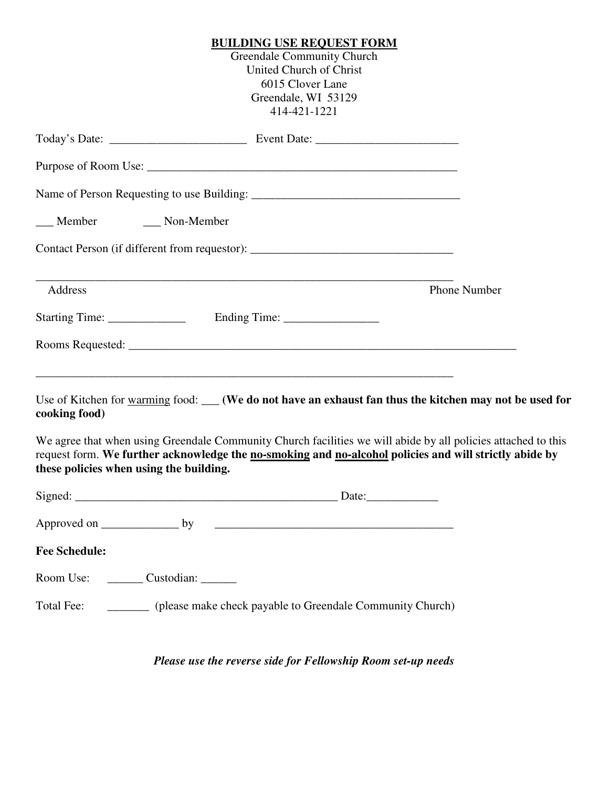| <b>BUILDING USE REQUEST FORM</b><br>Greendale Community Church                                                                                                                                                                                                     |                     |
|--------------------------------------------------------------------------------------------------------------------------------------------------------------------------------------------------------------------------------------------------------------------|---------------------|
| United Church of Christ                                                                                                                                                                                                                                            |                     |
| 6015 Clover Lane<br>Greendale, WI 53129                                                                                                                                                                                                                            |                     |
| 414-421-1221                                                                                                                                                                                                                                                       |                     |
|                                                                                                                                                                                                                                                                    |                     |
|                                                                                                                                                                                                                                                                    |                     |
|                                                                                                                                                                                                                                                                    |                     |
|                                                                                                                                                                                                                                                                    |                     |
| __ Member ___ Non-Member                                                                                                                                                                                                                                           |                     |
| Contact Person (if different from requestor): ___________________________________                                                                                                                                                                                  |                     |
| Address                                                                                                                                                                                                                                                            | <b>Phone Number</b> |
|                                                                                                                                                                                                                                                                    |                     |
|                                                                                                                                                                                                                                                                    |                     |
|                                                                                                                                                                                                                                                                    |                     |
| ,我们也不能在这里的人,我们也不能在这里的人,我们也不能在这里的人,我们也不能在这里的人,我们也不能在这里的人,我们也不能在这里的人,我们也不能在这里的人,我们也                                                                                                                                                                                  |                     |
| Use of Kitchen for warming food: __ (We do not have an exhaust fan thus the kitchen may not be used for<br>cooking food)                                                                                                                                           |                     |
| We agree that when using Greendale Community Church facilities we will abide by all policies attached to this<br>request form. We further acknowledge the no-smoking and no-alcohol policies and will strictly abide by<br>these policies when using the building. |                     |
|                                                                                                                                                                                                                                                                    |                     |
|                                                                                                                                                                                                                                                                    |                     |
| <b>Fee Schedule:</b>                                                                                                                                                                                                                                               |                     |
| Room Use: _________ Custodian: _______                                                                                                                                                                                                                             |                     |
| Total Fee: ___________ (please make check payable to Greendale Community Church)                                                                                                                                                                                   |                     |
|                                                                                                                                                                                                                                                                    |                     |

*Please use the reverse side for Fellowship Room set-up needs*